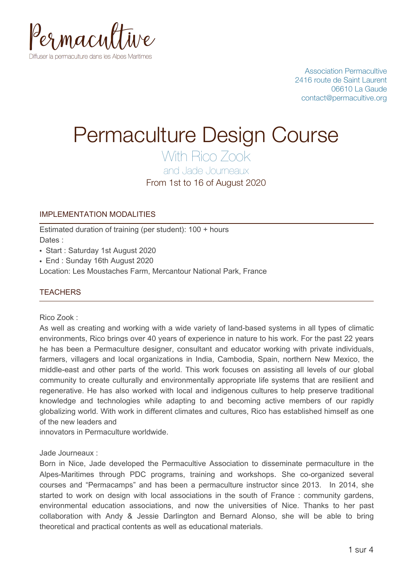

Association Permacultive 2416 route de Saint Laurent 06610 La Gaude contact@permacultive.org

# Permaculture Design Course

With Rico Zook

and Jade Journeaux

From 1st to 16 of August 2020

# IMPLEMENTATION MODALITIES

Estimated duration of training (per student): 100 + hours Dates :

- Start : Saturday 1st August 2020
- End : Sunday 16th August 2020

Location: Les Moustaches Farm, Mercantour National Park, France

# **TEACHERS**

Rico Zook :

As well as creating and working with a wide variety of land-based systems in all types of climatic environments, Rico brings over 40 years of experience in nature to his work. For the past 22 years he has been a Permaculture designer, consultant and educator working with private individuals, farmers, villagers and local organizations in India, Cambodia, Spain, northern New Mexico, the middle-east and other parts of the world. This work focuses on assisting all levels of our global community to create culturally and environmentally appropriate life systems that are resilient and regenerative. He has also worked with local and indigenous cultures to help preserve traditional knowledge and technologies while adapting to and becoming active members of our rapidly globalizing world. With work in different climates and cultures, Rico has established himself as one of the new leaders and

innovators in Permaculture worldwide.

## Jade Journeaux :

Born in Nice, Jade developed the Permacultive Association to disseminate permaculture in the Alpes-Maritimes through PDC programs, training and workshops. She co-organized several courses and "Permacamps" and has been a permaculture instructor since 2013. In 2014, she started to work on design with local associations in the south of France : community gardens, environmental education associations, and now the universities of Nice. Thanks to her past collaboration with Andy & Jessie Darlington and Bernard Alonso, she will be able to bring theoretical and practical contents as well as educational materials.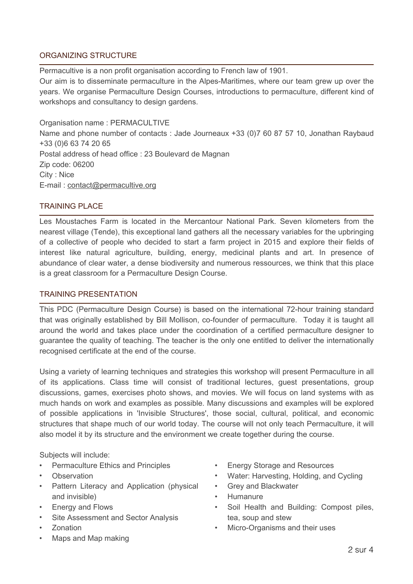# ORGANIZING STRUCTURE

Permacultive is a non profit organisation according to French law of 1901.

Our aim is to disseminate permaculture in the Alpes-Maritimes, where our team grew up over the years. We organise Permaculture Design Courses, introductions to permaculture, different kind of workshops and consultancy to design gardens.

Organisation name : PERMACULTIVE Name and phone number of contacts : Jade Journeaux +33 (0)7 60 87 57 10, Jonathan Raybaud +33 (0)6 63 74 20 65 Postal address of head office : 23 Boulevard de Magnan Zip code: 06200 City : Nice E-mail : [contact@permacultive.org](mailto:contact@permacultive.org)

## TRAINING PLACE

Les Moustaches Farm is located in the Mercantour National Park. Seven kilometers from the nearest village (Tende), this exceptional land gathers all the necessary variables for the upbringing of a collective of people who decided to start a farm project in 2015 and explore their fields of interest like natural agriculture, building, energy, medicinal plants and art. In presence of abundance of clear water, a dense biodiversity and numerous ressources, we think that this place is a great classroom for a Permaculture Design Course.

### TRAINING PRESENTATION

This PDC (Permaculture Design Course) is based on the international 72-hour training standard that was originally established by Bill Mollison, co-founder of permaculture. Today it is taught all around the world and takes place under the coordination of a certified permaculture designer to guarantee the quality of teaching. The teacher is the only one entitled to deliver the internationally recognised certificate at the end of the course.

Using a variety of learning techniques and strategies this workshop will present Permaculture in all of its applications. Class time will consist of traditional lectures, guest presentations, group discussions, games, exercises photo shows, and movies. We will focus on land systems with as much hands on work and examples as possible. Many discussions and examples will be explored of possible applications in 'Invisible Structures', those social, cultural, political, and economic structures that shape much of our world today. The course will not only teach Permaculture, it will also model it by its structure and the environment we create together during the course.

Subjects will include:

- Permaculture Ethics and Principles
- **Observation**
- Pattern Literacy and Application (physical and invisible)
- Energy and Flows
- Site Assessment and Sector Analysis
- Zonation
- Maps and Map making
- Energy Storage and Resources
- Water: Harvesting, Holding, and Cycling
- Grey and Blackwater
- Humanure
- Soil Health and Building: Compost piles, tea, soup and stew
- Micro-Organisms and their uses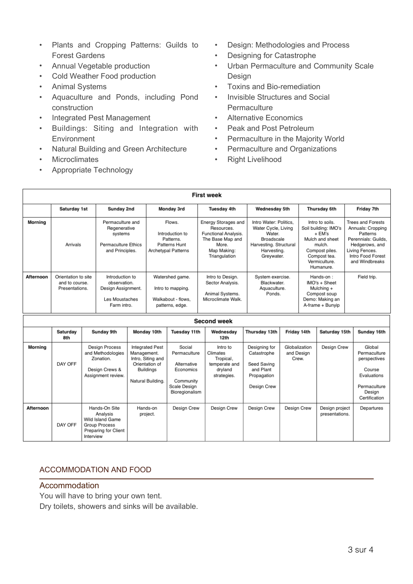- Plants and Cropping Patterns: Guilds to Forest Gardens
- Annual Vegetable production
- Cold Weather Food production
- Animal Systems
- Aquaculture and Ponds, including Pond construction
- Integrated Pest Management
- Buildings: Siting and Integration with **Environment**
- Natural Building and Green Architecture
- **Microclimates**
- Appropriate Technology
- Design: Methodologies and Process
- Designing for Catastrophe
- Urban Permaculture and Community Scale Design
- Toxins and Bio‐remediation
- Invisible Structures and Social **Permaculture**
- Alternative Economics
- Peak and Post Petroleum
- Permaculture in the Majority World
- Permaculture and Organizations
- Right Livelihood

|                    |                                                         |                                                                                                     |                                                                                        |                                                                                                         |                                                                                |                                                                                                   | <b>First week</b>                                                                                                      |  |                                                                                                                              |                                      |                                                                                                                                                |                                  |                                                                                                                                                             |                                                                                                            |
|--------------------|---------------------------------------------------------|-----------------------------------------------------------------------------------------------------|----------------------------------------------------------------------------------------|---------------------------------------------------------------------------------------------------------|--------------------------------------------------------------------------------|---------------------------------------------------------------------------------------------------|------------------------------------------------------------------------------------------------------------------------|--|------------------------------------------------------------------------------------------------------------------------------|--------------------------------------|------------------------------------------------------------------------------------------------------------------------------------------------|----------------------------------|-------------------------------------------------------------------------------------------------------------------------------------------------------------|------------------------------------------------------------------------------------------------------------|
|                    | Saturday 1st                                            |                                                                                                     | Sunday 2nd                                                                             |                                                                                                         | Monday 3rd                                                                     |                                                                                                   | <b>Tuesday 4th</b>                                                                                                     |  | Wednesday 5th                                                                                                                |                                      | Thursday 6th                                                                                                                                   |                                  | Friday 7th                                                                                                                                                  |                                                                                                            |
| Morning            | Arrivals                                                |                                                                                                     | Permaculture and<br>Regenerative<br>systems<br>Permaculture Ethics<br>and Principles.  |                                                                                                         | Flows.<br>Introduction to<br>Patterns.<br>Patterns Hunt<br>Archetypal Patterns |                                                                                                   | Energy Storages and<br>Resources.<br>Functional Analysis.<br>The Base Map and<br>More.<br>Map Making:<br>Triangulation |  | Intro Water: Politics.<br>Water Cycle, Living<br>Water.<br>Broadscale<br>Harvesting. Structural<br>Harvesting.<br>Greywater. |                                      | Intro to soils.<br>Soil building: IMO's<br>+ EM's<br>Mulch and sheet<br>mulch.<br>Compost piles.<br>Compost tea.<br>Vermiculture.<br>Humanure. |                                  | <b>Trees and Forests</b><br>Annuals: Cropping<br>Patterns<br>Perennials: Guilds.<br>Hedgerows, and<br>Living Fences.<br>Intro Food Forest<br>and Windbreaks |                                                                                                            |
| <b>Afternoon</b>   | Orientation to site<br>and to course.<br>Presentations. |                                                                                                     | Introduction to<br>observation.<br>Design Assignment.<br>Les Moustaches<br>Farm intro. |                                                                                                         | Watershed game.<br>Intro to mapping.<br>Walkabout - flows.<br>patterns, edge.  |                                                                                                   | Intro to Design.<br>Sector Analysis.<br>Animal Systems.<br>Microclimate Walk.                                          |  | System exercise.<br>Blackwater.<br>Aquaculture.<br>Ponds.                                                                    |                                      | Hands-on:<br>IMO's + Sheet<br>Mulching +<br>Compost soup<br>Demo: Making an<br>A-frame + Bunvip                                                |                                  | Field trip.                                                                                                                                                 |                                                                                                            |
| <b>Second week</b> |                                                         |                                                                                                     |                                                                                        |                                                                                                         |                                                                                |                                                                                                   |                                                                                                                        |  |                                                                                                                              |                                      |                                                                                                                                                |                                  |                                                                                                                                                             |                                                                                                            |
|                    | Saturday<br>8th                                         | Sunday 9th                                                                                          |                                                                                        | Monday 10th                                                                                             |                                                                                | Tuesday 11th                                                                                      | Wednesdav<br>12th                                                                                                      |  | Thursday 13th                                                                                                                |                                      | Friday 14th<br>Saturday 15th                                                                                                                   |                                  |                                                                                                                                                             | Sunday 16th                                                                                                |
| <b>Morning</b>     | DAY OFF                                                 | <b>Design Process</b><br>and Methodologies<br>Zonation.<br>Design Crews &<br>Assignment review.     |                                                                                        | Integrated Pest<br>Management.<br>Intro, Siting and<br>Orientation of<br>Buildings<br>Natural Building, |                                                                                | Social<br>Permaculture<br>Alternative<br>Economics<br>Community<br>Scale Design<br>Bioregionalism | Intro to<br>Climates<br>Tropical.<br>temperate and<br>dryland<br>strategies.                                           |  | Designing for<br>Catastrophe<br>Seed Saving<br>and Plant<br>Propagation<br>Design Crew                                       | Globalization<br>and Design<br>Crew. |                                                                                                                                                | Design Crew                      |                                                                                                                                                             | Global<br>Permaculture<br>perspectives<br>Course<br>Evaluations<br>Permaculture<br>Design<br>Certification |
| Afternoon          | DAY OFF                                                 | Hands-On Site<br>Analysis<br>Wild Island Game<br>Group Process<br>Preparing for Client<br>Interview |                                                                                        | Hands-on<br>project.                                                                                    |                                                                                | Design Crew                                                                                       | Design Crew                                                                                                            |  | Design Crew                                                                                                                  | Design Crew                          |                                                                                                                                                | Design project<br>presentations. |                                                                                                                                                             | Departures                                                                                                 |

## ACCOMMODATION AND FOOD

#### Accommodation

You will have to bring your own tent.

Dry toilets, showers and sinks will be available.